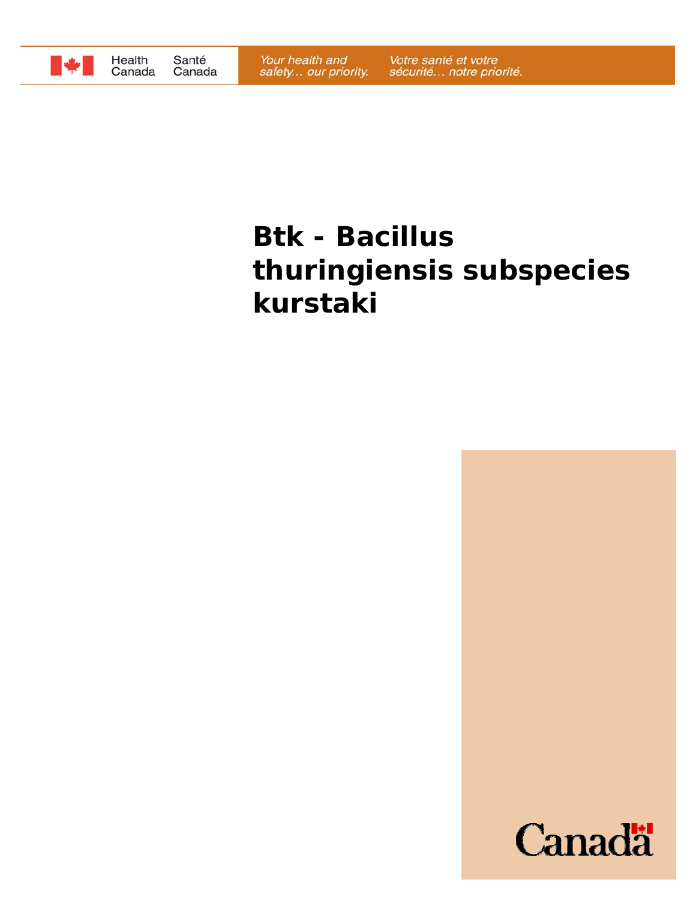

# **Btk -** *Bacillus thuringiensis* **subspecies**  *kurstaki*

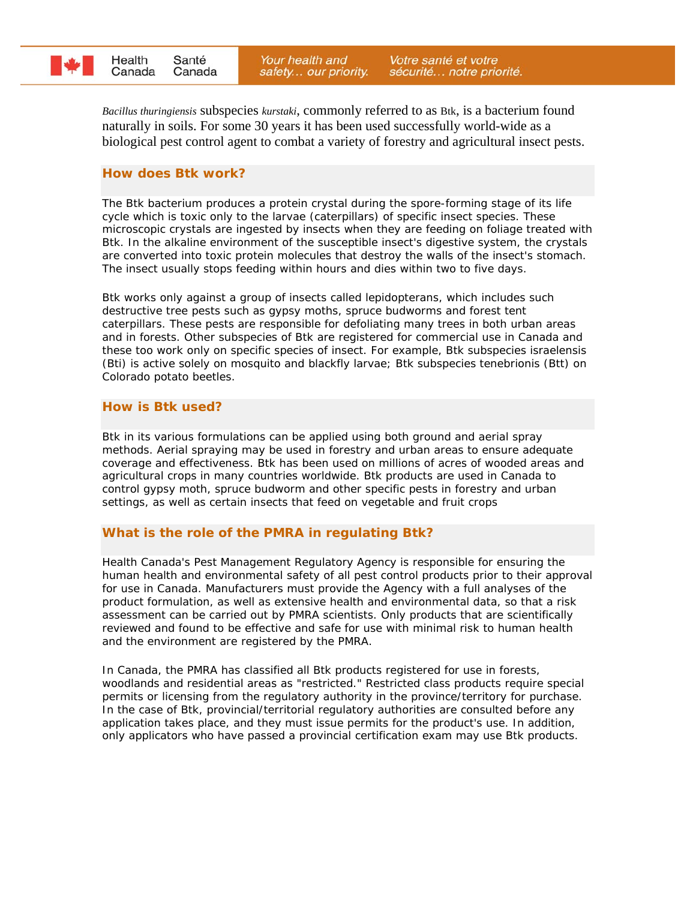

*Bacillus thuringiensis* subspecies *kurstaki*, commonly referred to as Btk, is a bacterium found naturally in soils. For some 30 years it has been used successfully world-wide as a biological pest control agent to combat a variety of forestry and agricultural insect pests.

#### **How does Btk work?**

The Btk bacterium produces a protein crystal during the spore-forming stage of its life cycle which is toxic only to the larvae (caterpillars) of specific insect species. These microscopic crystals are ingested by insects when they are feeding on foliage treated with Btk. In the alkaline environment of the susceptible insect's digestive system, the crystals are converted into toxic protein molecules that destroy the walls of the insect's stomach. The insect usually stops feeding within hours and dies within two to five days.

Btk works only against a group of insects called lepidopterans, which includes such destructive tree pests such as gypsy moths, spruce budworms and forest tent caterpillars. These pests are responsible for defoliating many trees in both urban areas and in forests. Other subspecies of Btk are registered for commercial use in Canada and these too work only on specific species of insect. For example, Btk subspecies *israelensis* (Bti) is active solely on mosquito and blackfly larvae; Btk subspecies *tenebrionis* (Btt) on Colorado potato beetles.

#### **How is Btk used?**

Btk in its various formulations can be applied using both ground and aerial spray methods. Aerial spraying may be used in forestry and urban areas to ensure adequate coverage and effectiveness. Btk has been used on millions of acres of wooded areas and agricultural crops in many countries worldwide. Btk products are used in Canada to control gypsy moth, spruce budworm and other specific pests in forestry and urban settings, as well as certain insects that feed on vegetable and fruit crops

## **What is the role of the PMRA in regulating Btk?**

Health Canada's Pest Management Regulatory Agency is responsible for ensuring the human health and environmental safety of all pest control products prior to their approval for use in Canada. Manufacturers must provide the Agency with a full analyses of the product formulation, as well as extensive health and environmental data, so that a risk assessment can be carried out by PMRA scientists. Only products that are scientifically reviewed and found to be effective and safe for use with minimal risk to human health and the environment are registered by the PMRA.

In Canada, the PMRA has classified all Btk products registered for use in forests, woodlands and residential areas as "restricted." Restricted class products require special permits or licensing from the regulatory authority in the province/territory for purchase. In the case of Btk, provincial/territorial regulatory authorities are consulted before any application takes place, and they must issue permits for the product's use. In addition, only applicators who have passed a provincial certification exam may use Btk products.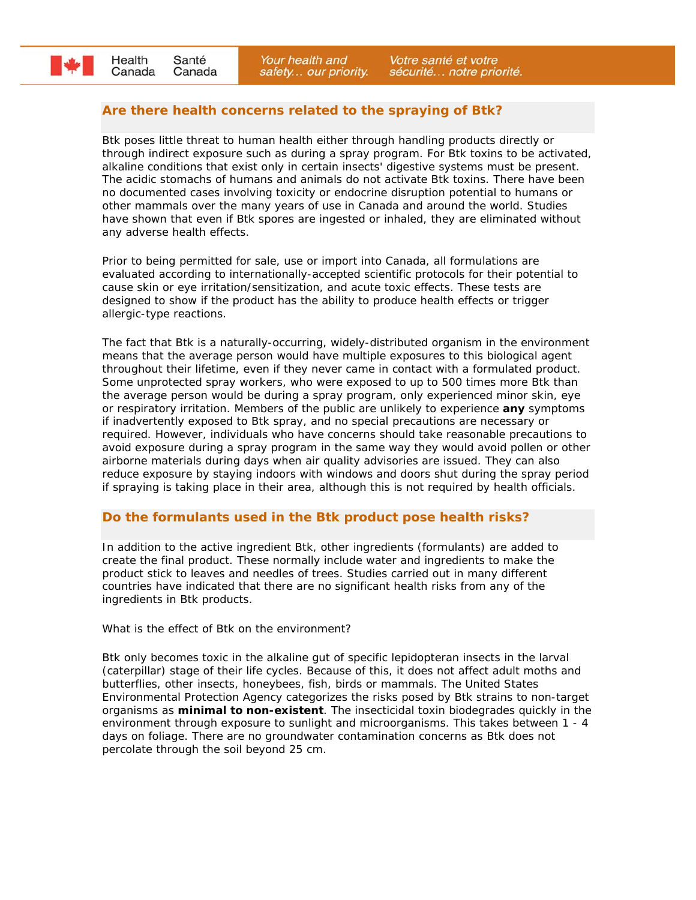# **Are there health concerns related to the spraying of Btk?**

Btk poses little threat to human health either through handling products directly or through indirect exposure such as during a spray program. For Btk toxins to be activated, alkaline conditions that exist only in certain insects' digestive systems must be present. The acidic stomachs of humans and animals do not activate Btk toxins. There have been no documented cases involving toxicity or endocrine disruption potential to humans or other mammals over the many years of use in Canada and around the world. Studies have shown that even if Btk spores are ingested or inhaled, they are eliminated without any adverse health effects.

Prior to being permitted for sale, use or import into Canada, all formulations are evaluated according to internationally-accepted scientific protocols for their potential to cause skin or eye irritation/sensitization, and acute toxic effects. These tests are designed to show if the product has the ability to produce health effects or trigger allergic-type reactions.

The fact that Btk is a naturally-occurring, widely-distributed organism in the environment means that the average person would have multiple exposures to this biological agent throughout their lifetime, even if they never came in contact with a formulated product. Some unprotected spray workers, who were exposed to up to 500 times more Btk than the average person would be during a spray program, only experienced minor skin, eye or respiratory irritation. Members of the public are unlikely to experience **any** symptoms if inadvertently exposed to Btk spray, and no special precautions are necessary or required. However, individuals who have concerns should take reasonable precautions to avoid exposure during a spray program in the same way they would avoid pollen or other airborne materials during days when air quality advisories are issued. They can also reduce exposure by staying indoors with windows and doors shut during the spray period if spraying is taking place in their area, although this is not required by health officials.

## **Do the formulants used in the Btk product pose health risks?**

In addition to the active ingredient Btk, other ingredients (formulants) are added to create the final product. These normally include water and ingredients to make the product stick to leaves and needles of trees. Studies carried out in many different countries have indicated that there are no significant health risks from any of the ingredients in Btk products.

What is the effect of Btk on the environment?

Btk only becomes toxic in the alkaline gut of specific lepidopteran insects in the larval (caterpillar) stage of their life cycles. Because of this, it does not affect adult moths and butterflies, other insects, honeybees, fish, birds or mammals. The United States Environmental Protection Agency categorizes the risks posed by Btk strains to non-target organisms as **minimal to non-existent**. The insecticidal toxin biodegrades quickly in the environment through exposure to sunlight and microorganisms. This takes between 1 - 4 days on foliage. There are no groundwater contamination concerns as Btk does not percolate through the soil beyond 25 cm.